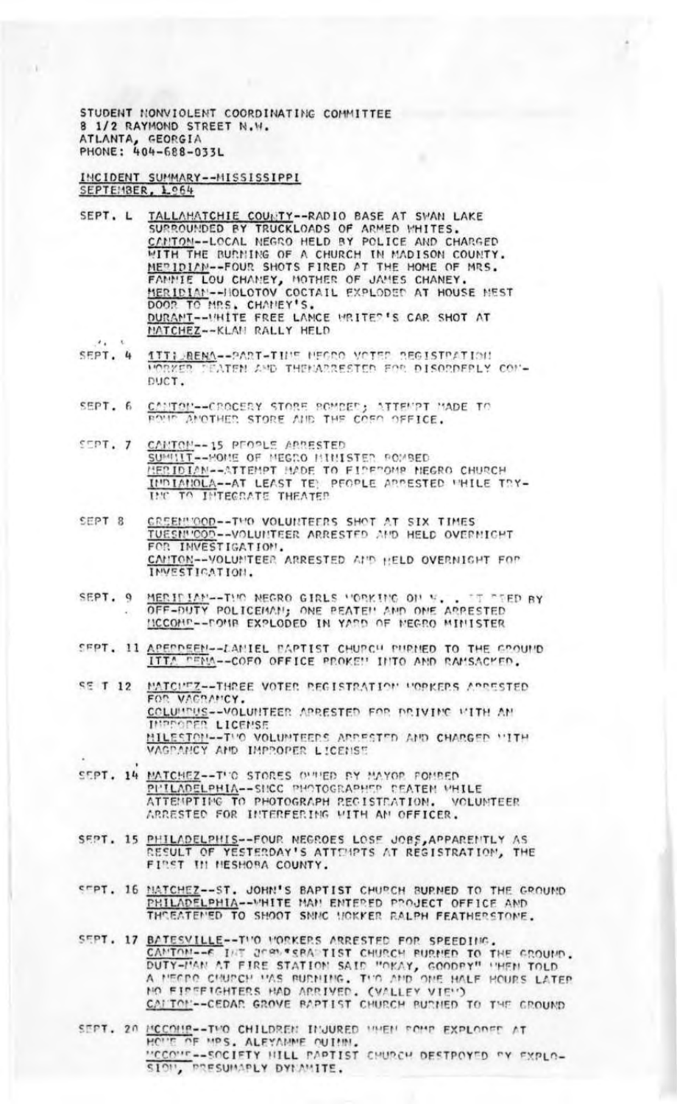STUDENT NONVIOLENT COORDINATING COMMITTEE 8 1/2 RAYMOND STREET N.W. ATLANTA, GEORGIA<br>PHONE: 404-688-033L

## INCIDENT SUMMARY--MISSISSIPPI SEPTEMBER, 1.064

 $A$ 

- SEPT. L TALLAHATCHIE COUNTY--RADIO BASE AT SWAN LAKE SURROUNDED BY TRUCKLOADS OF ARMED WHITES. CANTON--LOCAL NEGRO HELD BY POLICE AND CHARGED WITH THE BURNING OF A CHURCH IN MADISON COUNTY.<br>MERIDIAN--FOUR SHOTS FIRED AT THE HOME OF MRS. FAMMIE LOU CHAMEY, MOTHER OF JAMES CHANEY. MERIDIAN--HOLOTOV COCTAIL EXPLODED AT HOUSE MEST DOOR TO MRS. CHANEY'S. DURANT-INTER S CAR SHOT AT MATCHEZ -- KLAN RALLY HELD
- **1TTI BENA--PART-THIS MEGRO VOTER REGISTRATION**<br>VORKER CEATEN AND THEMARRESTED FOR DISORDERLY COM-SEPT. 4 DUCT.
- SEPT. 6 CANTON--CROCERY STORE ROMBED; ATTEMPT MADE TO ROMP ANOTHER STORE AND THE COED OFFICE.
- CANTON--15 PEOPLE ARRESTED  $S$ <sub>D</sub> $T$ . 7 SUMMIT--HOME OF MEGRO MINISTER POMBED MERIDIAN--ATTEMPT HADE TO FIDEDOMR NEGRO CHURCH INDIANOLA -- AT LEAST TE PEOPLE ARRESTED WHILE TRY-INC TO INTEGRATE THEATER
- SEPT 8 CREENVOOD--TVO VOLUNTEERS SHOT AT SIX TIMES<br>TUESNVOOD--VOLUNTEER ARRESTED AND HELD OVERNICHT FOR INVESTIGATION. CANTON--VOLUNTEER ARRESTED AND HELD OVERNIGHT FOR INVESTIGATION.
- MERICIAN--THO NEGRO GIRLS HORKING ON N. . TE TEN **IT TIED BY** SEPT. 9 HCCOMP--POMP EXPLODED IN YARD OF MEGRO MINISTER
- SEPT. 11 APERDEEN--LANIEL PAPTIST CHURCH PURNED TO THE CROUND ITTA PENA--COFO OFFICE PROKEN INTO AND RAMSACKED.
- SE T 12 MATCHEZ--THREE VOTER REGISTRATION HOPKERS ARRESTED FOR VACRANCY. COLUMBUS--VOLUMITEER ARRESTED FOR DRIVING WITH AN **INPROPER LICENSE** MILESTON--THO VOLUMTEERS ARRESTED AND CHARGED WITH VAGPANCY AND IMPROPER LICENSE
- SEPT. 14 MATCHEZ -- THO STORES OUTHED BY MAYOR FOMBED PHILADELPHIA--SHCC PHOTOGRAPHEP DEATEN WHILE<br>ATTEMPTING TO PHOTOGRAPH REGISTRATION. VOLUI VOLUNTEER ARRESTED FOR INTERFERING WITH AN OFFICER.
- SEPT. 15 PHILADELPHIS--FOUR NEGROES LOSE JOBS, APPARENTLY AS RESULT OF YESTERDAY'S ATTEMPTS AT REGISTRATION, THE FIRST III HESHORA COUNTY.
- SEPT. 16 MATCHEZ--ST. JOHN'S BAPTIST CHURCH BURNED TO THE GROUND PHILADELPHIA--VHITE MAN ENTERED PROJECT OFFICE AND
- SEPT. 17 BATESVILLE--TWO WORKERS ARRESTED FOR SPEEDING. CAMINO -- E INT JERN TERA TIST CHURCH BURNED TO THE GROUND. DUTY-MAN AT FIRE STATION SAID "OKAY, GOODRY" 'HEN TOLD NO FIREFIGHTERS HAD ARRIVED. (VALLEY VIE'')<br>CALTOL--CEDAR GROVE BAPTIST CHURCH BURNED TO THE GROUND

SEPT. 20 HOUR-TWO CHILDREN INJURED WHEN FOUR EXPLORED AT "CCO""--SOCIETY HILL PAPTIST CHURCH DESTPOYED "Y EXPLO-SION, PRESUMAPLY DYNAMITE.